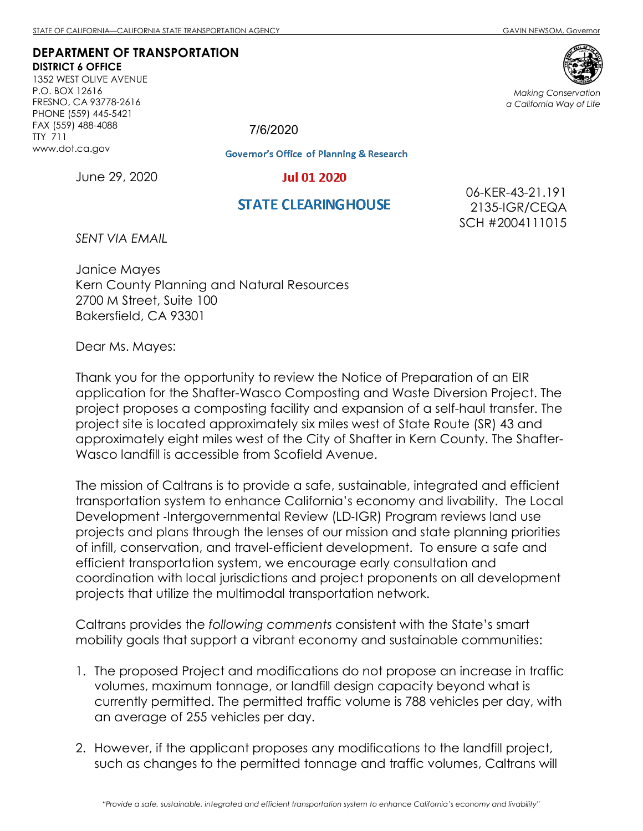Making Conservation a California Way of Life

## DEPARTMENT OF TRANSPORTATION DISTRICT 6 OFFICE

1352 WEST OLIVE AVENUE P.O. BOX 12616 FRESNO, CA 93778-2616 PHONE (559) 445-5421 FAX (559) 488-4088 TTY 711 www.dot.ca.gov

**Governor's Office of Planning & Research** 

**Jul 01 2020** 

June 29, 2020

## **STATE CLEARING HOUSE**

06-KER-43-21.191 2135-IGR/CEQA SCH #2004111015

SENT VIA EMAIL

Janice Mayes Kern County Planning and Natural Resources 2700 M Street, Suite 100 Bakersfield, CA 93301

Dear Ms. Mayes:

Thank you for the opportunity to review the Notice of Preparation of an EIR application for the Shafter-Wasco Composting and Waste Diversion Project. The project proposes a composting facility and expansion of a self-haul transfer. The project site is located approximately six miles west of State Route (SR) 43 and approximately eight miles west of the City of Shafter in Kern County. The Shafter-Wasco landfill is accessible from Scofield Avenue.

The mission of Caltrans is to provide a safe, sustainable, integrated and efficient transportation system to enhance California's economy and livability. The Local Development ‐Intergovernmental Review (LD‐IGR) Program reviews land use projects and plans through the lenses of our mission and state planning priorities of infill, conservation, and travel‐efficient development. To ensure a safe and efficient transportation system, we encourage early consultation and coordination with local jurisdictions and project proponents on all development projects that utilize the multimodal transportation network.

Caltrans provides the following comments consistent with the State's smart mobility goals that support a vibrant economy and sustainable communities:

- 1. The proposed Project and modifications do not propose an increase in traffic volumes, maximum tonnage, or landfill design capacity beyond what is currently permitted. The permitted traffic volume is 788 vehicles per day, with an average of 255 vehicles per day.
- 2. However, if the applicant proposes any modifications to the landfill project, such as changes to the permitted tonnage and traffic volumes, Caltrans will



7/6/2020